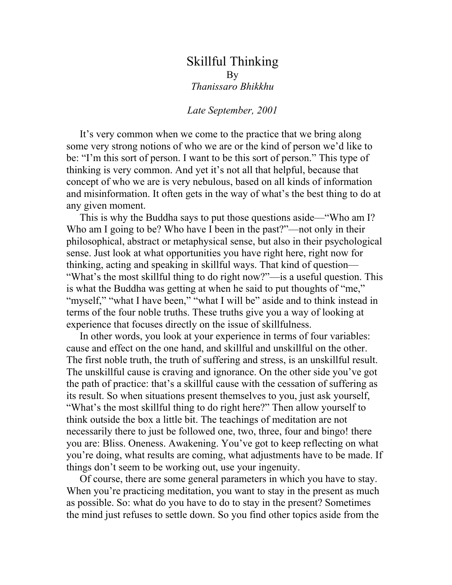## Skillful Thinking By *Thanissaro Bhikkhu*

## *Late September, 2001*

It's very common when we come to the practice that we bring along some very strong notions of who we are or the kind of person we'd like to be: "I'm this sort of person. I want to be this sort of person." This type of thinking is very common. And yet it's not all that helpful, because that concept of who we are is very nebulous, based on all kinds of information and misinformation. It often gets in the way of what's the best thing to do at any given moment.

This is why the Buddha says to put those questions aside—"Who am I? Who am I going to be? Who have I been in the past?"—not only in their philosophical, abstract or metaphysical sense, but also in their psychological sense. Just look at what opportunities you have right here, right now for thinking, acting and speaking in skillful ways. That kind of question— "What's the most skillful thing to do right now?"—is a useful question. This is what the Buddha was getting at when he said to put thoughts of "me," "myself," "what I have been," "what I will be" aside and to think instead in terms of the four noble truths. These truths give you a way of looking at experience that focuses directly on the issue of skillfulness.

In other words, you look at your experience in terms of four variables: cause and effect on the one hand, and skillful and unskillful on the other. The first noble truth, the truth of suffering and stress, is an unskillful result. The unskillful cause is craving and ignorance. On the other side you've got the path of practice: that's a skillful cause with the cessation of suffering as its result. So when situations present themselves to you, just ask yourself, "What's the most skillful thing to do right here?" Then allow yourself to think outside the box a little bit. The teachings of meditation are not necessarily there to just be followed one, two, three, four and bingo! there you are: Bliss. Oneness. Awakening. You've got to keep reflecting on what you're doing, what results are coming, what adjustments have to be made. If things don't seem to be working out, use your ingenuity.

Of course, there are some general parameters in which you have to stay. When you're practicing meditation, you want to stay in the present as much as possible. So: what do you have to do to stay in the present? Sometimes the mind just refuses to settle down. So you find other topics aside from the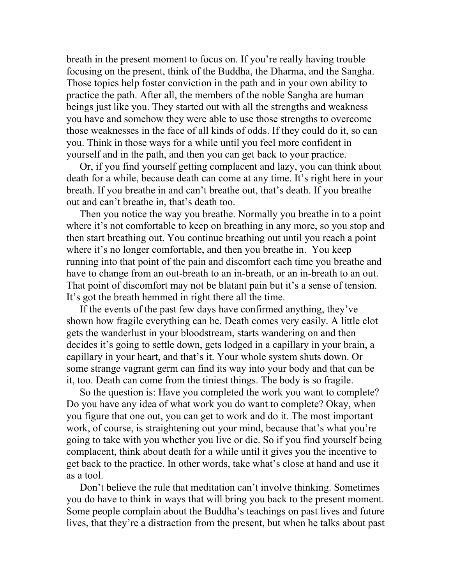breath in the present moment to focus on. If you're really having trouble focusing on the present, think of the Buddha, the Dharma, and the Sangha. Those topics help foster conviction in the path and in your own ability to practice the path. After all, the members of the noble Sangha are human beings just like you. They started out with all the strengths and weakness you have and somehow they were able to use those strengths to overcome those weaknesses in the face of all kinds of odds. If they could do it, so can you. Think in those ways for a while until you feel more confident in yourself and in the path, and then you can get back to your practice.

Or, if you find yourself getting complacent and lazy, you can think about death for a while, because death can come at any time. It's right here in your breath. If you breathe in and can't breathe out, that's death. If you breathe out and can't breathe in, that's death too.

Then you notice the way you breathe. Normally you breathe in to a point where it's not comfortable to keep on breathing in any more, so you stop and then start breathing out. You continue breathing out until you reach a point where it's no longer comfortable, and then you breathe in. You keep running into that point of the pain and discomfort each time you breathe and have to change from an out-breath to an in-breath, or an in-breath to an out. That point of discomfort may not be blatant pain but it's a sense of tension. It's got the breath hemmed in right there all the time.

If the events of the past few days have confirmed anything, they've shown how fragile everything can be. Death comes very easily. A little clot gets the wanderlust in your bloodstream, starts wandering on and then decides it's going to settle down, gets lodged in a capillary in your brain, a capillary in your heart, and that's it. Your whole system shuts down. Or some strange vagrant germ can find its way into your body and that can be it, too. Death can come from the tiniest things. The body is so fragile.

So the question is: Have you completed the work you want to complete? Do you have any idea of what work you do want to complete? Okay, when you figure that one out, you can get to work and do it. The most important work, of course, is straightening out your mind, because that's what you're going to take with you whether you live or die. So if you find yourself being complacent, think about death for a while until it gives you the incentive to get back to the practice. In other words, take what's close at hand and use it as a tool.

Don't believe the rule that meditation can't involve thinking. Sometimes you do have to think in ways that will bring you back to the present moment. Some people complain about the Buddha's teachings on past lives and future lives, that they're a distraction from the present, but when he talks about past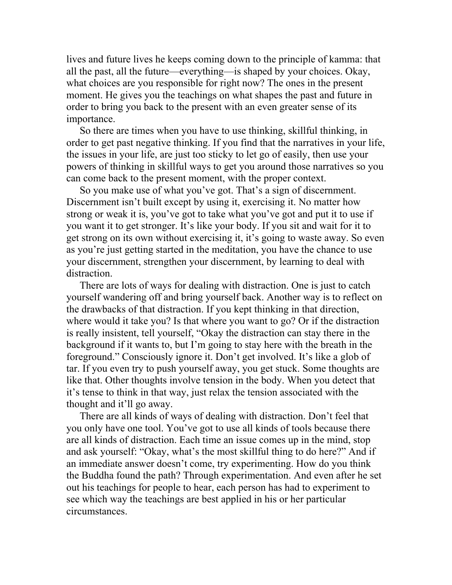lives and future lives he keeps coming down to the principle of kamma: that all the past, all the future—everything—is shaped by your choices. Okay, what choices are you responsible for right now? The ones in the present moment. He gives you the teachings on what shapes the past and future in order to bring you back to the present with an even greater sense of its importance.

So there are times when you have to use thinking, skillful thinking, in order to get past negative thinking. If you find that the narratives in your life, the issues in your life, are just too sticky to let go of easily, then use your powers of thinking in skillful ways to get you around those narratives so you can come back to the present moment, with the proper context.

So you make use of what you've got. That's a sign of discernment. Discernment isn't built except by using it, exercising it. No matter how strong or weak it is, you've got to take what you've got and put it to use if you want it to get stronger. It's like your body. If you sit and wait for it to get strong on its own without exercising it, it's going to waste away. So even as you're just getting started in the meditation, you have the chance to use your discernment, strengthen your discernment, by learning to deal with distraction.

There are lots of ways for dealing with distraction. One is just to catch yourself wandering off and bring yourself back. Another way is to reflect on the drawbacks of that distraction. If you kept thinking in that direction, where would it take you? Is that where you want to go? Or if the distraction is really insistent, tell yourself, "Okay the distraction can stay there in the background if it wants to, but I'm going to stay here with the breath in the foreground." Consciously ignore it. Don't get involved. It's like a glob of tar. If you even try to push yourself away, you get stuck. Some thoughts are like that. Other thoughts involve tension in the body. When you detect that it's tense to think in that way, just relax the tension associated with the thought and it'll go away.

There are all kinds of ways of dealing with distraction. Don't feel that you only have one tool. You've got to use all kinds of tools because there are all kinds of distraction. Each time an issue comes up in the mind, stop and ask yourself: "Okay, what's the most skillful thing to do here?" And if an immediate answer doesn't come, try experimenting. How do you think the Buddha found the path? Through experimentation. And even after he set out his teachings for people to hear, each person has had to experiment to see which way the teachings are best applied in his or her particular circumstances.